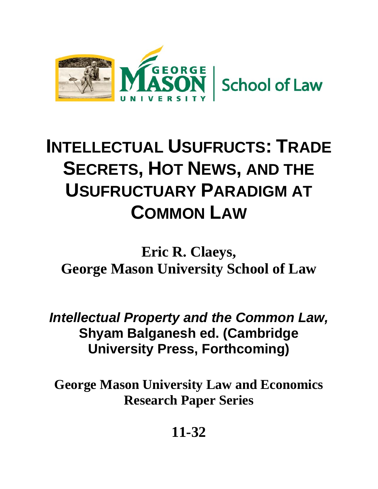

# **INTELLECTUAL USUFRUCTS: TRADE SECRETS, HOT NEWS, AND THE USUFRUCTUARY PARADIGM AT COMMON LAW**

**Eric R. Claeys, George Mason University School of Law** 

*Intellectual Property and the Common Law,*  **Shyam Balganesh ed. (Cambridge University Press, Forthcoming)** 

**George Mason University Law and Economics Research Paper Series** 

**11-32**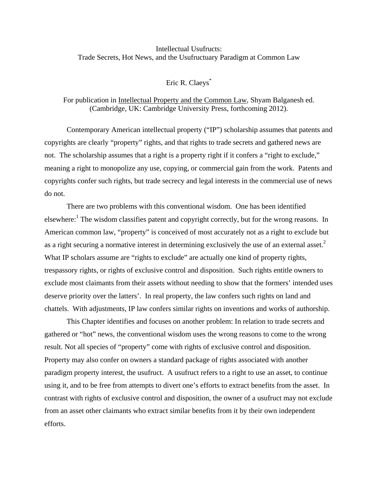## Intellectual Usufructs: Trade Secrets, Hot News, and the Usufructuary Paradigm at Common Law

# Eric R. Claeys\*

# For publication in Intellectual Property and the Common Law, Shyam Balganesh ed. (Cambridge, UK: Cambridge University Press, forthcoming 2012).

Contemporary American intellectual property ("IP") scholarship assumes that patents and copyrights are clearly "property" rights, and that rights to trade secrets and gathered news are not. The scholarship assumes that a right is a property right if it confers a "right to exclude," meaning a right to monopolize any use, copying, or commercial gain from the work. Patents and copyrights confer such rights, but trade secrecy and legal interests in the commercial use of news do not.

There are two problems with this conventional wisdom. One has been identified elsewhere:<sup>1</sup> The wisdom classifies patent and copyright correctly, but for the wrong reasons. In American common law, "property" is conceived of most accurately not as a right to exclude but as a right securing a normative interest in determining exclusively the use of an external asset.<sup>2</sup> What IP scholars assume are "rights to exclude" are actually one kind of property rights, trespassory rights, or rights of exclusive control and disposition. Such rights entitle owners to exclude most claimants from their assets without needing to show that the formers' intended uses deserve priority over the latters'. In real property, the law confers such rights on land and chattels. With adjustments, IP law confers similar rights on inventions and works of authorship.

This Chapter identifies and focuses on another problem: In relation to trade secrets and gathered or "hot" news, the conventional wisdom uses the wrong reasons to come to the wrong result. Not all species of "property" come with rights of exclusive control and disposition. Property may also confer on owners a standard package of rights associated with another paradigm property interest, the usufruct. A usufruct refers to a right to use an asset, to continue using it, and to be free from attempts to divert one's efforts to extract benefits from the asset. In contrast with rights of exclusive control and disposition, the owner of a usufruct may not exclude from an asset other claimants who extract similar benefits from it by their own independent efforts.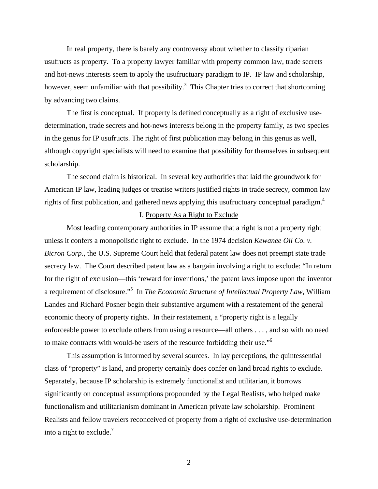In real property, there is barely any controversy about whether to classify riparian usufructs as property. To a property lawyer familiar with property common law, trade secrets and hot-news interests seem to apply the usufructuary paradigm to IP. IP law and scholarship, however, seem unfamiliar with that possibility.<sup>3</sup> This Chapter tries to correct that shortcoming by advancing two claims.

The first is conceptual. If property is defined conceptually as a right of exclusive usedetermination, trade secrets and hot-news interests belong in the property family, as two species in the genus for IP usufructs. The right of first publication may belong in this genus as well, although copyright specialists will need to examine that possibility for themselves in subsequent scholarship.

The second claim is historical. In several key authorities that laid the groundwork for American IP law, leading judges or treatise writers justified rights in trade secrecy, common law rights of first publication, and gathered news applying this usufructuary conceptual paradigm.<sup>4</sup>

## I. Property As a Right to Exclude

Most leading contemporary authorities in IP assume that a right is not a property right unless it confers a monopolistic right to exclude. In the 1974 decision *Kewanee Oil Co. v. Bicron Corp.*, the U.S. Supreme Court held that federal patent law does not preempt state trade secrecy law. The Court described patent law as a bargain involving a right to exclude: "In return for the right of exclusion—this 'reward for inventions,' the patent laws impose upon the inventor a requirement of disclosure."5 In *The Economic Structure of Intellectual Property Law*, William Landes and Richard Posner begin their substantive argument with a restatement of the general economic theory of property rights. In their restatement, a "property right is a legally enforceable power to exclude others from using a resource—all others . . . , and so with no need to make contracts with would-be users of the resource forbidding their use."6

 This assumption is informed by several sources. In lay perceptions, the quintessential class of "property" is land, and property certainly does confer on land broad rights to exclude. Separately, because IP scholarship is extremely functionalist and utilitarian, it borrows significantly on conceptual assumptions propounded by the Legal Realists, who helped make functionalism and utilitarianism dominant in American private law scholarship. Prominent Realists and fellow travelers reconceived of property from a right of exclusive use-determination into a right to exclude.<sup>7</sup>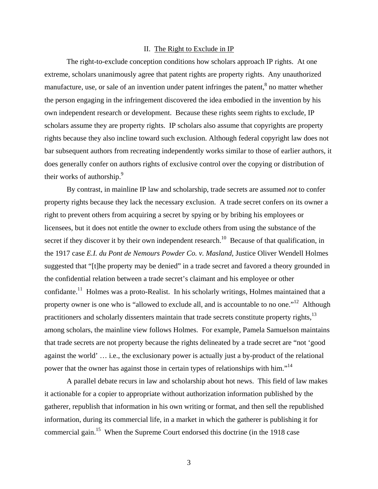#### II. The Right to Exclude in IP

The right-to-exclude conception conditions how scholars approach IP rights. At one extreme, scholars unanimously agree that patent rights are property rights. Any unauthorized manufacture, use, or sale of an invention under patent infringes the patent,<sup>8</sup> no matter whether the person engaging in the infringement discovered the idea embodied in the invention by his own independent research or development. Because these rights seem rights to exclude, IP scholars assume they are property rights. IP scholars also assume that copyrights are property rights because they also incline toward such exclusion. Although federal copyright law does not bar subsequent authors from recreating independently works similar to those of earlier authors, it does generally confer on authors rights of exclusive control over the copying or distribution of their works of authorship.<sup>9</sup>

By contrast, in mainline IP law and scholarship, trade secrets are assumed *not* to confer property rights because they lack the necessary exclusion. A trade secret confers on its owner a right to prevent others from acquiring a secret by spying or by bribing his employees or licensees, but it does not entitle the owner to exclude others from using the substance of the secret if they discover it by their own independent research.<sup>10</sup> Because of that qualification, in the 1917 case *E.I. du Pont de Nemours Powder Co. v. Masland*, Justice Oliver Wendell Holmes suggested that "[t]he property may be denied" in a trade secret and favored a theory grounded in the confidential relation between a trade secret's claimant and his employee or other confidante.<sup>11</sup> Holmes was a proto-Realist. In his scholarly writings, Holmes maintained that a property owner is one who is "allowed to exclude all, and is accountable to no one."<sup>12</sup> Although practitioners and scholarly dissenters maintain that trade secrets constitute property rights,<sup>13</sup> among scholars, the mainline view follows Holmes. For example, Pamela Samuelson maintains that trade secrets are not property because the rights delineated by a trade secret are "not 'good against the world' … i.e., the exclusionary power is actually just a by-product of the relational power that the owner has against those in certain types of relationships with him."<sup>14</sup>

A parallel debate recurs in law and scholarship about hot news. This field of law makes it actionable for a copier to appropriate without authorization information published by the gatherer, republish that information in his own writing or format, and then sell the republished information, during its commercial life, in a market in which the gatherer is publishing it for commercial gain.15 When the Supreme Court endorsed this doctrine (in the 1918 case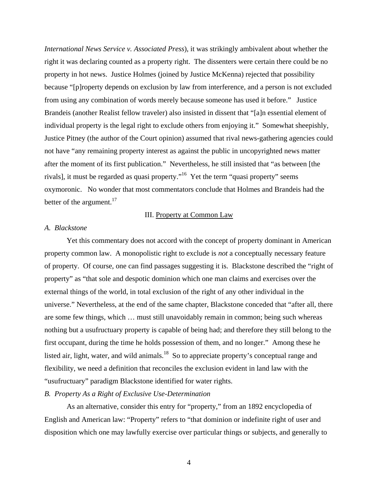*International News Service v. Associated Press*), it was strikingly ambivalent about whether the right it was declaring counted as a property right. The dissenters were certain there could be no property in hot news. Justice Holmes (joined by Justice McKenna) rejected that possibility because "[p]roperty depends on exclusion by law from interference, and a person is not excluded from using any combination of words merely because someone has used it before." Justice Brandeis (another Realist fellow traveler) also insisted in dissent that "[a]n essential element of individual property is the legal right to exclude others from enjoying it." Somewhat sheepishly, Justice Pitney (the author of the Court opinion) assumed that rival news-gathering agencies could not have "any remaining property interest as against the public in uncopyrighted news matter after the moment of its first publication." Nevertheless, he still insisted that "as between [the rivals], it must be regarded as quasi property."16 Yet the term "quasi property" seems oxymoronic. No wonder that most commentators conclude that Holmes and Brandeis had the better of the argument. $17$ 

## III. Property at Common Law

## *A. Blackstone*

Yet this commentary does not accord with the concept of property dominant in American property common law. A monopolistic right to exclude is *not* a conceptually necessary feature of property. Of course, one can find passages suggesting it is. Blackstone described the "right of property" as "that sole and despotic dominion which one man claims and exercises over the external things of the world, in total exclusion of the right of any other individual in the universe." Nevertheless, at the end of the same chapter, Blackstone conceded that "after all, there are some few things, which … must still unavoidably remain in common; being such whereas nothing but a usufructuary property is capable of being had; and therefore they still belong to the first occupant, during the time he holds possession of them, and no longer." Among these he listed air, light, water, and wild animals.<sup>18</sup> So to appreciate property's conceptual range and flexibility, we need a definition that reconciles the exclusion evident in land law with the "usufructuary" paradigm Blackstone identified for water rights.

# *B. Property As a Right of Exclusive Use-Determination*

As an alternative, consider this entry for "property," from an 1892 encyclopedia of English and American law: "Property" refers to "that dominion or indefinite right of user and disposition which one may lawfully exercise over particular things or subjects, and generally to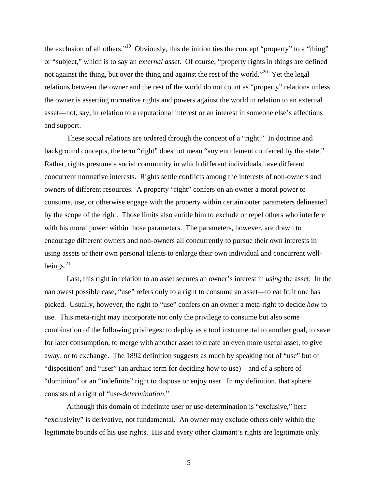the exclusion of all others."19 Obviously, this definition ties the concept "property" to a "thing" or "subject," which is to say an *external asset*. Of course, "property rights in things are defined not against the thing, but over the thing and against the rest of the world."<sup>20</sup> Yet the legal relations between the owner and the rest of the world do not count as "property" relations unless the owner is asserting normative rights and powers against the world in relation to an external asset—not, say, in relation to a reputational interest or an interest in someone else's affections and support.

These social relations are ordered through the concept of a "right." In doctrine and background concepts, the term "right" does not mean "any entitlement conferred by the state." Rather, rights presume a social community in which different individuals have different concurrent normative interests. Rights settle conflicts among the interests of non-owners and owners of different resources. A property "right" confers on an owner a moral power to consume, use, or otherwise engage with the property within certain outer parameters delineated by the scope of the right. Those limits also entitle him to exclude or repel others who interfere with his moral power within those parameters. The parameters, however, are drawn to encourage different owners and non-owners all concurrently to pursue their own interests in using assets or their own personal talents to enlarge their own individual and concurrent wellbeings. $^{21}$ 

Last, this right in relation to an asset secures an owner's interest in *using* the asset. In the narrowest possible case, "use" refers only to a right to consume an asset—to eat fruit one has picked. Usually, however, the right to "use" confers on an owner a meta-right to decide *how* to use. This meta-right may incorporate not only the privilege to consume but also some combination of the following privileges: to deploy as a tool instrumental to another goal, to save for later consumption, to merge with another asset to create an even more useful asset, to give away, or to exchange. The 1892 definition suggests as much by speaking not of "use" but of "disposition" and "user" (an archaic term for deciding how to use)—and of a sphere of "dominion" or an "indefinite" right to dispose or enjoy user. In my definition, that sphere consists of a right of "use-*determination*."

Although this domain of indefinite user or use-determination is "exclusive," here "exclusivity" is derivative, not fundamental. An owner may exclude others only within the legitimate bounds of his use rights. His and every other claimant's rights are legitimate only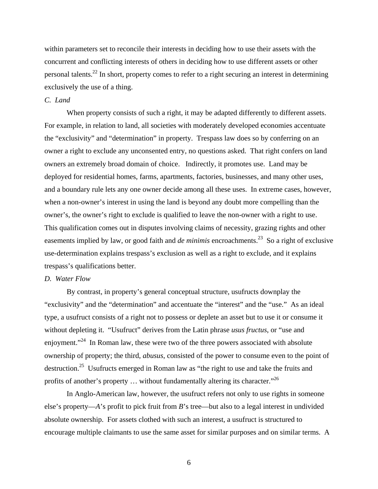within parameters set to reconcile their interests in deciding how to use their assets with the concurrent and conflicting interests of others in deciding how to use different assets or other personal talents.22 In short, property comes to refer to a right securing an interest in determining exclusively the use of a thing.

#### *C. Land*

When property consists of such a right, it may be adapted differently to different assets. For example, in relation to land, all societies with moderately developed economies accentuate the "exclusivity" and "determination" in property. Trespass law does so by conferring on an owner a right to exclude any unconsented entry, no questions asked. That right confers on land owners an extremely broad domain of choice. Indirectly, it promotes use. Land may be deployed for residential homes, farms, apartments, factories, businesses, and many other uses, and a boundary rule lets any one owner decide among all these uses. In extreme cases, however, when a non-owner's interest in using the land is beyond any doubt more compelling than the owner's, the owner's right to exclude is qualified to leave the non-owner with a right to use. This qualification comes out in disputes involving claims of necessity, grazing rights and other easements implied by law, or good faith and *de minimis* encroachments.<sup>23</sup> So a right of exclusive use-determination explains trespass's exclusion as well as a right to exclude, and it explains trespass's qualifications better.

## *D. Water Flow*

By contrast, in property's general conceptual structure, usufructs downplay the "exclusivity" and the "determination" and accentuate the "interest" and the "use." As an ideal type, a usufruct consists of a right not to possess or deplete an asset but to use it or consume it without depleting it. "Usufruct" derives from the Latin phrase *usus fructus*, or "use and enjoyment."<sup>24</sup> In Roman law, these were two of the three powers associated with absolute ownership of property; the third, *abusus*, consisted of the power to consume even to the point of destruction.25 Usufructs emerged in Roman law as "the right to use and take the fruits and profits of another's property ... without fundamentally altering its character."<sup>26</sup>

In Anglo-American law, however, the usufruct refers not only to use rights in someone else's property—*A*'s profit to pick fruit from *B*'s tree—but also to a legal interest in undivided absolute ownership. For assets clothed with such an interest, a usufruct is structured to encourage multiple claimants to use the same asset for similar purposes and on similar terms. A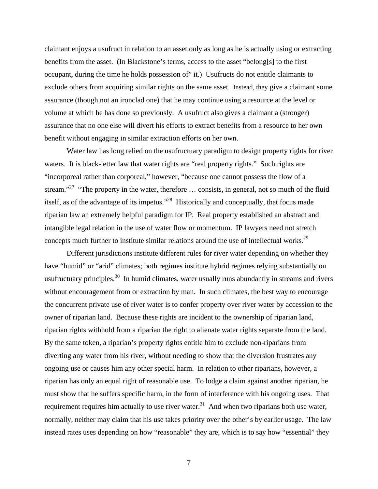claimant enjoys a usufruct in relation to an asset only as long as he is actually using or extracting benefits from the asset. (In Blackstone's terms, access to the asset "belong[s] to the first occupant, during the time he holds possession of" it.) Usufructs do not entitle claimants to exclude others from acquiring similar rights on the same asset. Instead, they give a claimant some assurance (though not an ironclad one) that he may continue using a resource at the level or volume at which he has done so previously. A usufruct also gives a claimant a (stronger) assurance that no one else will divert his efforts to extract benefits from a resource to her own benefit without engaging in similar extraction efforts on her own.

Water law has long relied on the usufructuary paradigm to design property rights for river waters. It is black-letter law that water rights are "real property rights." Such rights are "incorporeal rather than corporeal," however, "because one cannot possess the flow of a stream."<sup>27</sup> "The property in the water, therefore  $\ldots$  consists, in general, not so much of the fluid itself, as of the advantage of its impetus."<sup>28</sup> Historically and conceptually, that focus made riparian law an extremely helpful paradigm for IP. Real property established an abstract and intangible legal relation in the use of water flow or momentum. IP lawyers need not stretch concepts much further to institute similar relations around the use of intellectual works.<sup>29</sup>

Different jurisdictions institute different rules for river water depending on whether they have "humid" or "arid" climates; both regimes institute hybrid regimes relying substantially on usufructuary principles.<sup>30</sup> In humid climates, water usually runs abundantly in streams and rivers without encouragement from or extraction by man. In such climates, the best way to encourage the concurrent private use of river water is to confer property over river water by accession to the owner of riparian land. Because these rights are incident to the ownership of riparian land, riparian rights withhold from a riparian the right to alienate water rights separate from the land. By the same token, a riparian's property rights entitle him to exclude non-riparians from diverting any water from his river, without needing to show that the diversion frustrates any ongoing use or causes him any other special harm. In relation to other riparians, however, a riparian has only an equal right of reasonable use. To lodge a claim against another riparian, he must show that he suffers specific harm, in the form of interference with his ongoing uses. That requirement requires him actually to use river water.<sup>31</sup> And when two riparians both use water, normally, neither may claim that his use takes priority over the other's by earlier usage. The law instead rates uses depending on how "reasonable" they are, which is to say how "essential" they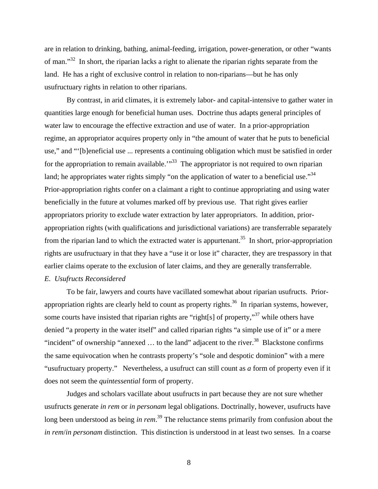are in relation to drinking, bathing, animal-feeding, irrigation, power-generation, or other "wants of man."<sup>32</sup> In short, the riparian lacks a right to alienate the riparian rights separate from the land. He has a right of exclusive control in relation to non-riparians—but he has only usufructuary rights in relation to other riparians.

By contrast, in arid climates, it is extremely labor- and capital-intensive to gather water in quantities large enough for beneficial human uses. Doctrine thus adapts general principles of water law to encourage the effective extraction and use of water. In a prior-appropriation regime, an appropriator acquires property only in "the amount of water that he puts to beneficial use," and "'[b]eneficial use ... represents a continuing obligation which must be satisfied in order for the appropriation to remain available.<sup> $133$ </sup> The appropriator is not required to own riparian land; he appropriates water rights simply "on the application of water to a beneficial use."<sup>34</sup> Prior-appropriation rights confer on a claimant a right to continue appropriating and using water beneficially in the future at volumes marked off by previous use. That right gives earlier appropriators priority to exclude water extraction by later appropriators. In addition, priorappropriation rights (with qualifications and jurisdictional variations) are transferrable separately from the riparian land to which the extracted water is appurtenant.<sup>35</sup> In short, prior-appropriation rights are usufructuary in that they have a "use it or lose it" character, they are trespassory in that earlier claims operate to the exclusion of later claims, and they are generally transferrable.

# *E. Usufructs Reconsidered*

To be fair, lawyers and courts have vacillated somewhat about riparian usufructs. Priorappropriation rights are clearly held to count as property rights.<sup>36</sup> In riparian systems, however, some courts have insisted that riparian rights are "right[s] of property,"<sup>37</sup> while others have denied "a property in the water itself" and called riparian rights "a simple use of it" or a mere "incident" of ownership "annexed  $\dots$  to the land" adjacent to the river.<sup>38</sup> Blackstone confirms the same equivocation when he contrasts property's "sole and despotic dominion" with a mere "usufructuary property." Nevertheless, a usufruct can still count as *a* form of property even if it does not seem the *quintessential* form of property.

Judges and scholars vacillate about usufructs in part because they are not sure whether usufructs generate *in rem* or *in personam* legal obligations. Doctrinally, however, usufructs have long been understood as being *in rem*. <sup>39</sup> The reluctance stems primarily from confusion about the *in rem*/*in personam* distinction. This distinction is understood in at least two senses. In a coarse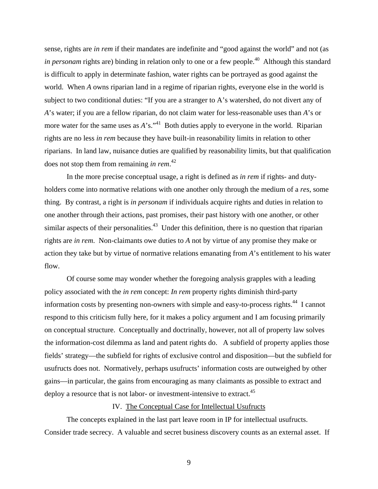sense, rights are *in rem* if their mandates are indefinite and "good against the world" and not (as *in personam* rights are) binding in relation only to one or a few people.<sup>40</sup> Although this standard is difficult to apply in determinate fashion, water rights can be portrayed as good against the world. When *A* owns riparian land in a regime of riparian rights, everyone else in the world is subject to two conditional duties: "If you are a stranger to A's watershed, do not divert any of *A*'s water; if you are a fellow riparian, do not claim water for less-reasonable uses than *A*'s or more water for the same uses as  $A$ 's."<sup>41</sup> Both duties apply to everyone in the world. Riparian rights are no less *in rem* because they have built-in reasonability limits in relation to other riparians. In land law, nuisance duties are qualified by reasonability limits, but that qualification does not stop them from remaining *in rem*. 42

In the more precise conceptual usage, a right is defined as *in rem* if rights- and dutyholders come into normative relations with one another only through the medium of a *res*, some thing. By contrast, a right is *in personam* if individuals acquire rights and duties in relation to one another through their actions, past promises, their past history with one another, or other similar aspects of their personalities.<sup>43</sup> Under this definition, there is no question that riparian rights are *in rem*. Non-claimants owe duties to *A* not by virtue of any promise they make or action they take but by virtue of normative relations emanating from *A*'s entitlement to his water flow.

Of course some may wonder whether the foregoing analysis grapples with a leading policy associated with the *in rem* concept: *In rem* property rights diminish third-party information costs by presenting non-owners with simple and easy-to-process rights.<sup>44</sup> I cannot respond to this criticism fully here, for it makes a policy argument and I am focusing primarily on conceptual structure. Conceptually and doctrinally, however, not all of property law solves the information-cost dilemma as land and patent rights do. A subfield of property applies those fields' strategy—the subfield for rights of exclusive control and disposition—but the subfield for usufructs does not. Normatively, perhaps usufructs' information costs are outweighed by other gains—in particular, the gains from encouraging as many claimants as possible to extract and deploy a resource that is not labor- or investment-intensive to extract.<sup>45</sup>

#### IV. The Conceptual Case for Intellectual Usufructs

 The concepts explained in the last part leave room in IP for intellectual usufructs. Consider trade secrecy. A valuable and secret business discovery counts as an external asset. If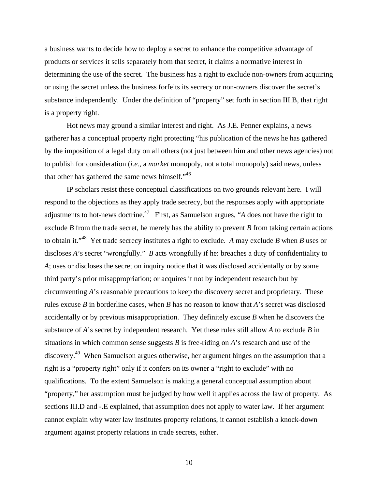a business wants to decide how to deploy a secret to enhance the competitive advantage of products or services it sells separately from that secret, it claims a normative interest in determining the use of the secret. The business has a right to exclude non-owners from acquiring or using the secret unless the business forfeits its secrecy or non-owners discover the secret's substance independently. Under the definition of "property" set forth in section III.B, that right is a property right.

Hot news may ground a similar interest and right. As J.E. Penner explains, a news gatherer has a conceptual property right protecting "his publication of the news he has gathered by the imposition of a legal duty on all others (not just between him and other news agencies) not to publish for consideration (*i.e.*, a *market* monopoly, not a total monopoly) said news, unless that other has gathered the same news himself."<sup>46</sup>

 IP scholars resist these conceptual classifications on two grounds relevant here. I will respond to the objections as they apply trade secrecy, but the responses apply with appropriate adjustments to hot-news doctrine.<sup>47</sup> First, as Samuelson argues, "*A* does not have the right to exclude *B* from the trade secret, he merely has the ability to prevent *B* from taking certain actions to obtain it."48 Yet trade secrecy institutes a right to exclude. *A* may exclude *B* when *B* uses or discloses *A*'s secret "wrongfully." *B* acts wrongfully if he: breaches a duty of confidentiality to *A*; uses or discloses the secret on inquiry notice that it was disclosed accidentally or by some third party's prior misappropriation; or acquires it not by independent research but by circumventing *A*'s reasonable precautions to keep the discovery secret and proprietary. These rules excuse *B* in borderline cases, when *B* has no reason to know that *A*'s secret was disclosed accidentally or by previous misappropriation. They definitely excuse *B* when he discovers the substance of *A*'s secret by independent research. Yet these rules still allow *A* to exclude *B* in situations in which common sense suggests *B* is free-riding on *A*'s research and use of the discovery.49 When Samuelson argues otherwise, her argument hinges on the assumption that a right is a "property right" only if it confers on its owner a "right to exclude" with no qualifications. To the extent Samuelson is making a general conceptual assumption about "property," her assumption must be judged by how well it applies across the law of property. As sections III.D and -.E explained, that assumption does not apply to water law. If her argument cannot explain why water law institutes property relations, it cannot establish a knock-down argument against property relations in trade secrets, either.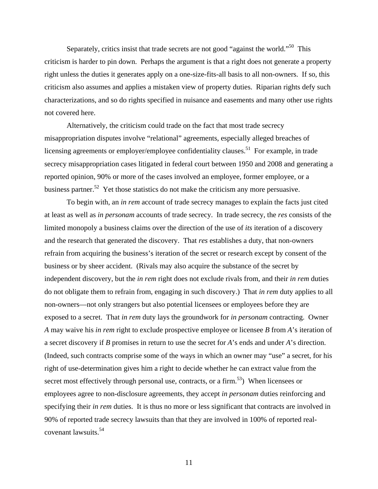Separately, critics insist that trade secrets are not good "against the world."<sup>50</sup> This criticism is harder to pin down. Perhaps the argument is that a right does not generate a property right unless the duties it generates apply on a one-size-fits-all basis to all non-owners. If so, this criticism also assumes and applies a mistaken view of property duties. Riparian rights defy such characterizations, and so do rights specified in nuisance and easements and many other use rights not covered here.

Alternatively, the criticism could trade on the fact that most trade secrecy misappropriation disputes involve "relational" agreements, especially alleged breaches of licensing agreements or employer/employee confidentiality clauses.<sup>51</sup> For example, in trade secrecy misappropriation cases litigated in federal court between 1950 and 2008 and generating a reported opinion, 90% or more of the cases involved an employee, former employee, or a business partner.<sup>52</sup> Yet those statistics do not make the criticism any more persuasive.

To begin with, an *in rem* account of trade secrecy manages to explain the facts just cited at least as well as *in personam* accounts of trade secrecy. In trade secrecy, the *res* consists of the limited monopoly a business claims over the direction of the use of *its* iteration of a discovery and the research that generated the discovery. That *res* establishes a duty, that non-owners refrain from acquiring the business's iteration of the secret or research except by consent of the business or by sheer accident. (Rivals may also acquire the substance of the secret by independent discovery, but the *in rem* right does not exclude rivals from, and their *in rem* duties do not obligate them to refrain from, engaging in such discovery.) That *in rem* duty applies to all non-owners—not only strangers but also potential licensees or employees before they are exposed to a secret. That *in rem* duty lays the groundwork for *in personam* contracting. Owner *A* may waive his *in rem* right to exclude prospective employee or licensee *B* from *A*'s iteration of a secret discovery if *B* promises in return to use the secret for *A*'s ends and under *A*'s direction. (Indeed, such contracts comprise some of the ways in which an owner may "use" a secret, for his right of use-determination gives him a right to decide whether he can extract value from the secret most effectively through personal use, contracts, or a firm.<sup>53</sup>) When licensees or employees agree to non-disclosure agreements, they accept *in personam* duties reinforcing and specifying their *in rem* duties. It is thus no more or less significant that contracts are involved in 90% of reported trade secrecy lawsuits than that they are involved in 100% of reported realcovenant lawsuits.54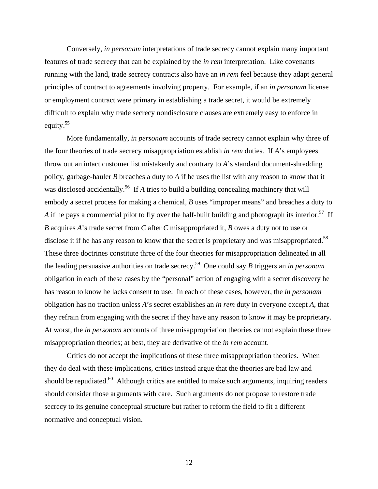Conversely, *in personam* interpretations of trade secrecy cannot explain many important features of trade secrecy that can be explained by the *in rem* interpretation. Like covenants running with the land, trade secrecy contracts also have an *in rem* feel because they adapt general principles of contract to agreements involving property. For example, if an *in personam* license or employment contract were primary in establishing a trade secret, it would be extremely difficult to explain why trade secrecy nondisclosure clauses are extremely easy to enforce in equity.<sup>55</sup>

More fundamentally, *in personam* accounts of trade secrecy cannot explain why three of the four theories of trade secrecy misappropriation establish *in rem* duties. If *A*'s employees throw out an intact customer list mistakenly and contrary to *A*'s standard document-shredding policy, garbage-hauler *B* breaches a duty to *A* if he uses the list with any reason to know that it was disclosed accidentally.<sup>56</sup> If *A* tries to build a building concealing machinery that will embody a secret process for making a chemical, *B* uses "improper means" and breaches a duty to *A* if he pays a commercial pilot to fly over the half-built building and photograph its interior.<sup>57</sup> If *B* acquires *A*'s trade secret from *C* after *C* misappropriated it, *B* owes a duty not to use or disclose it if he has any reason to know that the secret is proprietary and was misappropriated.<sup>58</sup> These three doctrines constitute three of the four theories for misappropriation delineated in all the leading persuasive authorities on trade secrecy.59 One could say *B* triggers an *in personam* obligation in each of these cases by the "personal" action of engaging with a secret discovery he has reason to know he lacks consent to use. In each of these cases, however, the *in personam* obligation has no traction unless *A*'s secret establishes an *in rem* duty in everyone except *A*, that they refrain from engaging with the secret if they have any reason to know it may be proprietary. At worst, the *in personam* accounts of three misappropriation theories cannot explain these three misappropriation theories; at best, they are derivative of the *in rem* account.

Critics do not accept the implications of these three misappropriation theories. When they do deal with these implications, critics instead argue that the theories are bad law and should be repudiated.<sup>60</sup> Although critics are entitled to make such arguments, inquiring readers should consider those arguments with care. Such arguments do not propose to restore trade secrecy to its genuine conceptual structure but rather to reform the field to fit a different normative and conceptual vision.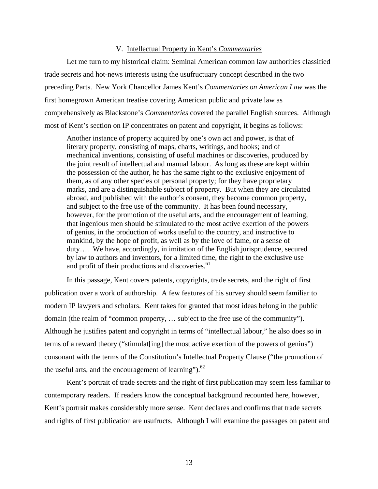### V. Intellectual Property in Kent's *Commentaries*

Let me turn to my historical claim: Seminal American common law authorities classified trade secrets and hot-news interests using the usufructuary concept described in the two preceding Parts. New York Chancellor James Kent's *Commentaries on American Law* was the first homegrown American treatise covering American public and private law as comprehensively as Blackstone's *Commentaries* covered the parallel English sources. Although most of Kent's section on IP concentrates on patent and copyright, it begins as follows:

Another instance of property acquired by one's own act and power, is that of literary property, consisting of maps, charts, writings, and books; and of mechanical inventions, consisting of useful machines or discoveries, produced by the joint result of intellectual and manual labour. As long as these are kept within the possession of the author, he has the same right to the exclusive enjoyment of them, as of any other species of personal property; for they have proprietary marks, and are a distinguishable subject of property. But when they are circulated abroad, and published with the author's consent, they become common property, and subject to the free use of the community. It has been found necessary, however, for the promotion of the useful arts, and the encouragement of learning, that ingenious men should be stimulated to the most active exertion of the powers of genius, in the production of works useful to the country, and instructive to mankind, by the hope of profit, as well as by the love of fame, or a sense of duty…. We have, accordingly, in imitation of the English jurisprudence, secured by law to authors and inventors, for a limited time, the right to the exclusive use and profit of their productions and discoveries.<sup>61</sup>

In this passage, Kent covers patents, copyrights, trade secrets, and the right of first publication over a work of authorship. A few features of his survey should seem familiar to modern IP lawyers and scholars. Kent takes for granted that most ideas belong in the public domain (the realm of "common property, … subject to the free use of the community"). Although he justifies patent and copyright in terms of "intellectual labour," he also does so in terms of a reward theory ("stimulat[ing] the most active exertion of the powers of genius") consonant with the terms of the Constitution's Intellectual Property Clause ("the promotion of the useful arts, and the encouragement of learning"). $^{62}$ 

Kent's portrait of trade secrets and the right of first publication may seem less familiar to contemporary readers. If readers know the conceptual background recounted here, however, Kent's portrait makes considerably more sense. Kent declares and confirms that trade secrets and rights of first publication are usufructs. Although I will examine the passages on patent and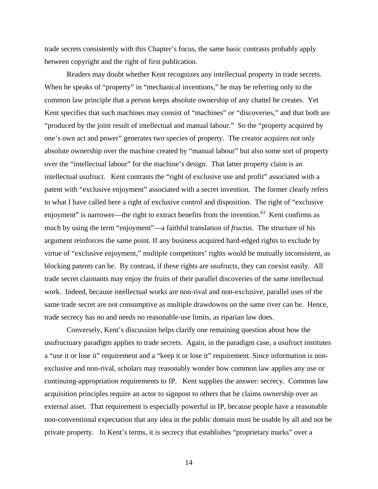trade secrets consistently with this Chapter's focus, the same basic contrasts probably apply between copyright and the right of first publication.

Readers may doubt whether Kent recognizes any intellectual property in trade secrets. When he speaks of "property" in "mechanical inventions," he may be referring only to the common law principle that a person keeps absolute ownership of any chattel he creates. Yet Kent specifies that such machines may consist of "machines" *or* "discoveries," and that both are "produced by the joint result of intellectual and manual labour." So the "property acquired by one's own act and power" generates two species of property. The creator acquires not only absolute ownership over the machine created by "manual labour" but also some sort of property over the "intellectual labour" for the machine's design. That latter property claim is an intellectual usufruct. Kent contrasts the "right of exclusive use and profit" associated with a patent with "exclusive enjoyment" associated with a secret invention. The former clearly refers to what I have called here a right of exclusive control and disposition. The right of "exclusive enjoyment" is narrower—the right to extract benefits from the invention.<sup>63</sup> Kent confirms as much by using the term "enjoyment"—a faithful translation of *fructus*. The structure of his argument reinforces the same point. If any business acquired hard-edged rights to exclude by virtue of "exclusive enjoyment," multiple competitors' rights would be mutually inconsistent, as blocking patents can be. By contrast, if these rights are usufructs, they can coexist easily. All trade secret claimants may enjoy the fruits of their parallel discoveries of the same intellectual work. Indeed, because intellectual works are non-rival and non-exclusive, parallel uses of the same trade secret are not consumptive as multiple drawdowns on the same river can be. Hence, trade secrecy has no and needs no reasonable-use limits, as riparian law does.

Conversely, Kent's discussion helps clarify one remaining question about how the usufructuary paradigm applies to trade secrets. Again, in the paradigm case, a usufruct institutes a "use it or lose it" requirement and a "keep it or lose it" requirement. Since information is nonexclusive and non-rival, scholars may reasonably wonder how common law applies any use or continuing-appropriation requirements to IP. Kent supplies the answer: secrecy. Common law acquisition principles require an actor to signpost to others that he claims ownership over an external asset. That requirement is especially powerful in IP, because people have a reasonable non-conventional expectation that any idea in the public domain must be usable by all and not be private property. In Kent's terms, it is secrecy that establishes "proprietary marks" over a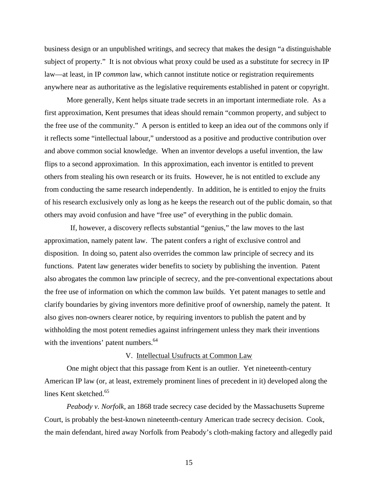business design or an unpublished writings, and secrecy that makes the design "a distinguishable subject of property." It is not obvious what proxy could be used as a substitute for secrecy in IP law—at least, in IP *common* law, which cannot institute notice or registration requirements anywhere near as authoritative as the legislative requirements established in patent or copyright.

More generally, Kent helps situate trade secrets in an important intermediate role. As a first approximation, Kent presumes that ideas should remain "common property, and subject to the free use of the community." A person is entitled to keep an idea *out* of the commons only if it reflects some "intellectual labour," understood as a positive and productive contribution over and above common social knowledge. When an inventor develops a useful invention, the law flips to a second approximation. In this approximation, each inventor is entitled to prevent others from stealing his own research or its fruits. However, he is not entitled to exclude any from conducting the same research independently. In addition, he is entitled to enjoy the fruits of his research exclusively only as long as he keeps the research out of the public domain, so that others may avoid confusion and have "free use" of everything in the public domain.

 If, however, a discovery reflects substantial "genius," the law moves to the last approximation, namely patent law. The patent confers a right of exclusive control and disposition. In doing so, patent also overrides the common law principle of secrecy and its functions. Patent law generates wider benefits to society by publishing the invention. Patent also abrogates the common law principle of secrecy, and the pre-conventional expectations about the free use of information on which the common law builds. Yet patent manages to settle and clarify boundaries by giving inventors more definitive proof of ownership, namely the patent. It also gives non-owners clearer notice, by requiring inventors to publish the patent and by withholding the most potent remedies against infringement unless they mark their inventions with the inventions' patent numbers.<sup>64</sup>

### V. Intellectual Usufructs at Common Law

One might object that this passage from Kent is an outlier. Yet nineteenth-century American IP law (or, at least, extremely prominent lines of precedent in it) developed along the lines Kent sketched.<sup>65</sup>

*Peabody v. Norfolk*, an 1868 trade secrecy case decided by the Massachusetts Supreme Court, is probably the best-known nineteenth-century American trade secrecy decision. Cook, the main defendant, hired away Norfolk from Peabody's cloth-making factory and allegedly paid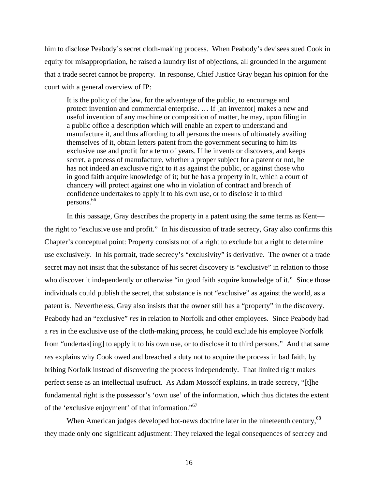him to disclose Peabody's secret cloth-making process. When Peabody's devisees sued Cook in equity for misappropriation, he raised a laundry list of objections, all grounded in the argument that a trade secret cannot be property. In response, Chief Justice Gray began his opinion for the court with a general overview of IP:

It is the policy of the law, for the advantage of the public, to encourage and protect invention and commercial enterprise. … If [an inventor] makes a new and useful invention of any machine or composition of matter, he may, upon filing in a public office a description which will enable an expert to understand and manufacture it, and thus affording to all persons the means of ultimately availing themselves of it, obtain letters patent from the government securing to him its exclusive use and profit for a term of years. If he invents or discovers, and keeps secret, a process of manufacture, whether a proper subject for a patent or not, he has not indeed an exclusive right to it as against the public, or against those who in good faith acquire knowledge of it; but he has a property in it, which a court of chancery will protect against one who in violation of contract and breach of confidence undertakes to apply it to his own use, or to disclose it to third persons.<sup>66</sup>

In this passage, Gray describes the property in a patent using the same terms as Kent the right to "exclusive use and profit." In his discussion of trade secrecy, Gray also confirms this Chapter's conceptual point: Property consists not of a right to exclude but a right to determine use exclusively. In his portrait, trade secrecy's "exclusivity" is derivative. The owner of a trade secret may not insist that the substance of his secret discovery is "exclusive" in relation to those who discover it independently or otherwise "in good faith acquire knowledge of it." Since those individuals could publish the secret, that substance is not "exclusive" as against the world, as a patent is. Nevertheless, Gray also insists that the owner still has a "property" in the discovery. Peabody had an "exclusive" *res* in relation to Norfolk and other employees. Since Peabody had a *res* in the exclusive use of the cloth-making process, he could exclude his employee Norfolk from "undertak[ing] to apply it to his own use, or to disclose it to third persons." And that same *res* explains why Cook owed and breached a duty not to acquire the process in bad faith, by bribing Norfolk instead of discovering the process independently. That limited right makes perfect sense as an intellectual usufruct. As Adam Mossoff explains, in trade secrecy, "[t]he fundamental right is the possessor's 'own use' of the information, which thus dictates the extent of the 'exclusive enjoyment' of that information."67

When American judges developed hot-news doctrine later in the nineteenth century,<sup>68</sup> they made only one significant adjustment: They relaxed the legal consequences of secrecy and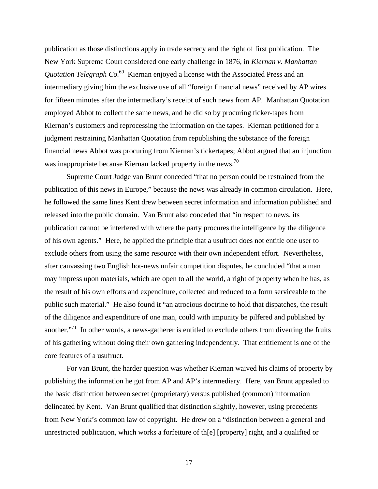publication as those distinctions apply in trade secrecy and the right of first publication. The New York Supreme Court considered one early challenge in 1876, in *Kiernan v. Manhattan Quotation Telegraph Co.*69 Kiernan enjoyed a license with the Associated Press and an intermediary giving him the exclusive use of all "foreign financial news" received by AP wires for fifteen minutes after the intermediary's receipt of such news from AP. Manhattan Quotation employed Abbot to collect the same news, and he did so by procuring ticker-tapes from Kiernan's customers and reprocessing the information on the tapes. Kiernan petitioned for a judgment restraining Manhattan Quotation from republishing the substance of the foreign financial news Abbot was procuring from Kiernan's tickertapes; Abbot argued that an injunction was inappropriate because Kiernan lacked property in the news.<sup>70</sup>

Supreme Court Judge van Brunt conceded "that no person could be restrained from the publication of this news in Europe," because the news was already in common circulation. Here, he followed the same lines Kent drew between secret information and information published and released into the public domain. Van Brunt also conceded that "in respect to news, its publication cannot be interfered with where the party procures the intelligence by the diligence of his own agents." Here, he applied the principle that a usufruct does not entitle one user to exclude others from using the same resource with their own independent effort. Nevertheless, after canvassing two English hot-news unfair competition disputes, he concluded "that a man may impress upon materials, which are open to all the world, a right of property when he has, as the result of his own efforts and expenditure, collected and reduced to a form serviceable to the public such material." He also found it "an atrocious doctrine to hold that dispatches, the result of the diligence and expenditure of one man, could with impunity be pilfered and published by another. $17<sup>71</sup>$  In other words, a news-gatherer is entitled to exclude others from diverting the fruits of his gathering without doing their own gathering independently. That entitlement is one of the core features of a usufruct.

For van Brunt, the harder question was whether Kiernan waived his claims of property by publishing the information he got from AP and AP's intermediary. Here, van Brunt appealed to the basic distinction between secret (proprietary) versus published (common) information delineated by Kent. Van Brunt qualified that distinction slightly, however, using precedents from New York's common law of copyright. He drew on a "distinction between a general and unrestricted publication, which works a forfeiture of th[e] [property] right, and a qualified or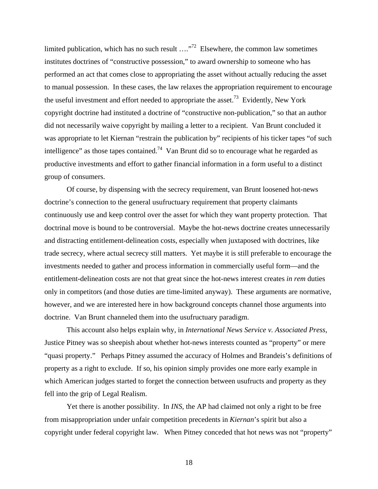limited publication, which has no such result …."72 Elsewhere, the common law sometimes institutes doctrines of "constructive possession," to award ownership to someone who has performed an act that comes close to appropriating the asset without actually reducing the asset to manual possession. In these cases, the law relaxes the appropriation requirement to encourage the useful investment and effort needed to appropriate the asset.<sup>73</sup> Evidently, New York copyright doctrine had instituted a doctrine of "constructive non-publication," so that an author did not necessarily waive copyright by mailing a letter to a recipient. Van Brunt concluded it was appropriate to let Kiernan "restrain the publication by" recipients of his ticker tapes "of such intelligence" as those tapes contained.<sup>74</sup> Van Brunt did so to encourage what he regarded as productive investments and effort to gather financial information in a form useful to a distinct group of consumers.

Of course, by dispensing with the secrecy requirement, van Brunt loosened hot-news doctrine's connection to the general usufructuary requirement that property claimants continuously use and keep control over the asset for which they want property protection. That doctrinal move is bound to be controversial. Maybe the hot-news doctrine creates unnecessarily and distracting entitlement-delineation costs, especially when juxtaposed with doctrines, like trade secrecy, where actual secrecy still matters. Yet maybe it is still preferable to encourage the investments needed to gather and process information in commercially useful form—and the entitlement-delineation costs are not that great since the hot-news interest creates *in rem* duties only in competitors (and those duties are time-limited anyway). These arguments are normative, however, and we are interested here in how background concepts channel those arguments into doctrine. Van Brunt channeled them into the usufructuary paradigm.

This account also helps explain why, in *International News Service v. Associated Press*, Justice Pitney was so sheepish about whether hot-news interests counted as "property" or mere "quasi property." Perhaps Pitney assumed the accuracy of Holmes and Brandeis's definitions of property as a right to exclude. If so, his opinion simply provides one more early example in which American judges started to forget the connection between usufructs and property as they fell into the grip of Legal Realism.

Yet there is another possibility. In *INS*, the AP had claimed not only a right to be free from misappropriation under unfair competition precedents in *Kiernan*'s spirit but also a copyright under federal copyright law. When Pitney conceded that hot news was not "property"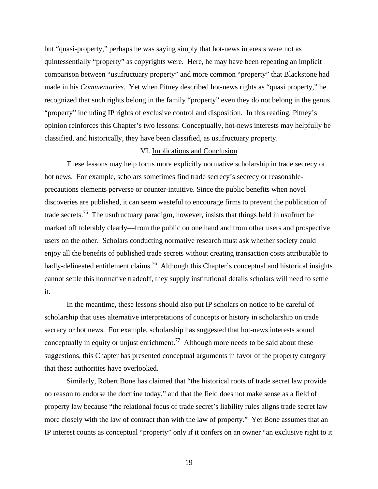but "quasi-property," perhaps he was saying simply that hot-news interests were not as quintessentially "property" as copyrights were. Here, he may have been repeating an implicit comparison between "usufructuary property" and more common "property" that Blackstone had made in his *Commentaries*. Yet when Pitney described hot-news rights as "quasi property," he recognized that such rights belong in the family "property" even they do not belong in the genus "property" including IP rights of exclusive control and disposition. In this reading, Pitney's opinion reinforces this Chapter's two lessons: Conceptually, hot-news interests may helpfully be classified, and historically, they have been classified, as usufructuary property.

#### VI. Implications and Conclusion

These lessons may help focus more explicitly normative scholarship in trade secrecy or hot news. For example, scholars sometimes find trade secrecy's secrecy or reasonableprecautions elements perverse or counter-intuitive. Since the public benefits when novel discoveries are published, it can seem wasteful to encourage firms to prevent the publication of trade secrets.<sup>75</sup> The usufructuary paradigm, however, insists that things held in usufruct be marked off tolerably clearly—from the public on one hand and from other users and prospective users on the other. Scholars conducting normative research must ask whether society could enjoy all the benefits of published trade secrets without creating transaction costs attributable to badly-delineated entitlement claims.<sup>76</sup> Although this Chapter's conceptual and historical insights cannot settle this normative tradeoff, they supply institutional details scholars will need to settle it.

In the meantime, these lessons should also put IP scholars on notice to be careful of scholarship that uses alternative interpretations of concepts or history in scholarship on trade secrecy or hot news. For example, scholarship has suggested that hot-news interests sound conceptually in equity or unjust enrichment.<sup>77</sup> Although more needs to be said about these suggestions, this Chapter has presented conceptual arguments in favor of the property category that these authorities have overlooked.

Similarly, Robert Bone has claimed that "the historical roots of trade secret law provide no reason to endorse the doctrine today," and that the field does not make sense as a field of property law because "the relational focus of trade secret's liability rules aligns trade secret law more closely with the law of contract than with the law of property." Yet Bone assumes that an IP interest counts as conceptual "property" only if it confers on an owner "an exclusive right to it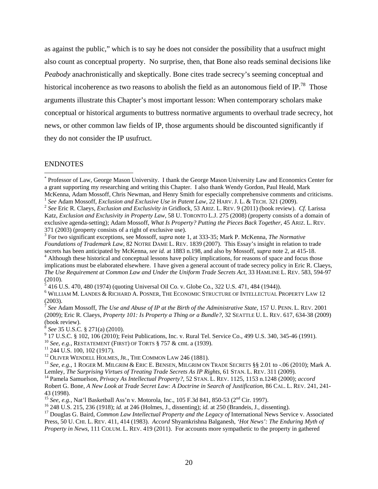as against the public," which is to say he does not consider the possibility that a usufruct might also count as conceptual property. No surprise, then, that Bone also reads seminal decisions like *Peabody* anachronistically and skeptically. Bone cites trade secrecy's seeming conceptual and historical incoherence as two reasons to abolish the field as an autonomous field of IP.<sup>78</sup> Those arguments illustrate this Chapter's most important lesson: When contemporary scholars make conceptual or historical arguments to buttress normative arguments to overhaul trade secrecy, hot news, or other common law fields of IP, those arguments should be discounted significantly if they do not consider the IP usufruct.

#### ENDNOTES

1

 $8 \text{}$  *See* 35 U.S.C. § 271(a) (2010).

<sup>10</sup> *See, e.g.*, RESTATEMENT (FIRST) OF TORTS § 757 & cmt. a (1939).<br><sup>11</sup> 244 U.S. 100, 102 (1917).<br><sup>12</sup> OLIVER WENDELL HOLMES, JR., THE COMMON LAW 246 (1881).

<sup>\*</sup> Professor of Law, George Mason University. I thank the George Mason University Law and Economics Center for a grant supporting my researching and writing this Chapter. I also thank Wendy Gordon, Paul Heald, Mark McKenna, Adam Mossoff, Chris Newman, and Henry Smith for especially comprehensive comments and criticisms.<br><sup>1</sup> See Adam Mossoff, *Exclusion and Exclusive Use in Patent Law*, 22 HARV. J. L. & TECH. 321 (2009).<br><sup>2</sup> See Eric

Katz, *Exclusion and Exclusivity in Property Law*, 58 U. TORONTO L.J. 275 (2008) (property consists of a domain of exclusive agenda-setting); Adam Mossoff, *What Is Property? Putting the Pieces Back Together*, 45 ARIZ. L. REV. 371 (2003) (property consists of a right of exclusive use).

<sup>3</sup> For two significant exceptions, see Mossoff, *supra* note 1, at 333-35; Mark P. McKenna, *The Normative Foundations of Trademark Law*, 82 NOTRE DAME L. REV. 1839 (2007). This Essay's insight in relation to trade secrets has been anticipated by McKenna, *see id.* at 1883 n.198, and also by Mossoff, *supra* note 2, at 415-18. 4

<sup>&</sup>lt;sup>4</sup> Although these historical and conceptual lessons have policy implications, for reasons of space and focus those implications must be elaborated elsewhere. I have given a general account of trade secrecy policy in Eric R. Claeys, *The Use Requirement at Common Law and Under the Uniform Trade Secrets Act*, 33 HAMLINE L. REV. 583, 594-97

<sup>(2010).&</sup>lt;br><sup>5</sup> 416 U.S. 470, 480 (1974) (quoting Universal Oil Co. v. Globe Co., 322 U.S. 471, 484 (1944)).

<sup>6</sup> WILLIAM M. LANDES & RICHARD A. POSNER, THE ECONOMIC STRUCTURE OF INTELLECTUAL PROPERTY LAW 12 (2003).

<sup>7</sup> *See* Adam Mossoff, *The Use and Abuse of IP at the Birth of the Administrative State*, 157 U. PENN. L. REV. 2001 (2009); Eric R. Claeys, *Property 101: Is Property a Thing or a Bundle?*, 32 SEATTLE U. L. REV. 617, 634-38 (2009) (book review).

<sup>&</sup>lt;sup>9</sup> 17 U.S.C. § 102, 106 (2010); Feist Publications, Inc. v. Rural Tel. Service Co., 499 U.S. 340, 345-46 (1991).

<sup>&</sup>lt;sup>13</sup> See, e.g., 1 ROGER M. MILGRIM & ERIC E. BENSEN, MILGRIM ON TRADE SECRETS §§ 2.01 to -.06 (2010); Mark A.<br>Lemley, *The Surprising Virtues of Treating Trade Secrets As IP Rights*, 61 STAN. L. REV. 311 (2009).

<sup>&</sup>lt;sup>14</sup> Pamela Samuelson, *Privacy As Intellectual Property?*, 52 STAN. L. REV. 1125, 1153 n.1248 (2000); accord

Robert G. Bone, *A New Look at Trade Secret Law: A Doctrine in Search of Justification*, 86 CAL. L. REV. 241, 241- 43 (1998).<br><sup>15</sup> See, e.g., Nat'l Basketball Ass'n v. Motorola, Inc., 105 F.3d 841, 850-53 (2<sup>nd</sup> Cir. 1997).

<sup>&</sup>lt;sup>16</sup> 248 U.S. 215, 236 (1918); *id.* at 246 (Holmes, J., dissenting); *id.* at 250 (Brandeis, J., dissenting).<br><sup>17</sup> Douglas G. Baird, *Common Law Intellectual Property and the Legacy of* International News Service v. Asso Press, 50 U. CHI. L. REV. 411, 414 (1983). *Accord* Shyamkrishna Balganesh, *'Hot News': The Enduring Myth of Property in News*, 111 COLUM. L. REV. 419 (2011). For accounts more sympathetic to the property in gathered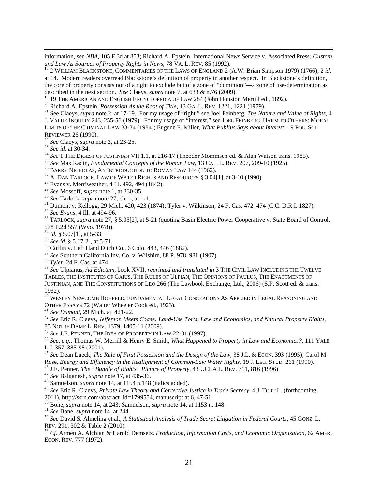information, see *NBA*, 105 F.3d at 853; Richard A. Epstein, International News Service v. Associated Press*: Custom* 

<sup>18</sup> 2 WILLIAM BLACKSTONE, COMMENTARIES OF THE LAWS OF ENGLAND 2 (A.W. Brian Simpson 1979) (1766); 2 *id.* at 14. Modern readers overread Blackstone's definition of property in another respect. In Blackstone's definition, the core of property consists not of a right to exclude but of a zone of "dominion"—a zone of use-determination as described in the next section. *See* Claeys, *supra* note 7, at 633 & n.76 (2009).<br><sup>19</sup> 19 THE AMERICAN AND ENGLISH ENCYCLOPEDIA OF LAW 284 (John Houston Merrill ed., 1892).

<sup>20</sup> Richard A. Epstein, *Possession As the Root of Title*, 13 GA. L. REV. 1221, 1221 (1979).<br><sup>21</sup> See Claeys, *supra* note 2, at 17-19. For my usage of "right," see Joel Feinberg, *The Nature and Value of Rights*, 4 J. VALUE INQUIRY 243, 255-56 (1979). For my usage of "interest," see JOEL FEINBERG, HARM TO OTHERS: MORAL LIMITS OF THE CRIMINAL LAW 33-34 (1984); Eugene F. Miller, *What Publius Says about Interest*, 19 POL. SCI.

REVIEWER 26 (1990).<br>
<sup>22</sup> See Claeys, *supra* note 2, at 23-25.<br>
<sup>23</sup> See id. at 30-34.<br>
<sup>24</sup> See 1 THE DIGEST OF JUSTINIAN VII.1.1, at 216-17 (Theodor Mommsen ed. & Alan Watson trans. 1985).<br>
<sup>25</sup> See Max Radin, *Fundame* 

<sup>30</sup> *See* Tarlock, *supra* note 27, ch. 1, at 1-1.<br><sup>31</sup> Dumont v. Kellogg, 29 Mich. 420, 423 (1874); Tyler v. Wilkinson, 24 F. Cas. 472, 474 (C.C. D.R.I. 1827).<br><sup>32</sup> *See Evans*, 4 Ill. at 494-96.

<sup>33</sup> TARLOCK, *supra* note 27, § 5.05[2], at 5-21 (quoting Basin Electric Power Cooperative v. State Board of Control, 578 P.2d 557 (Wyo. 1978)).<br><sup>34</sup> Id. § 5.07[1], at 5-33.

<sup>34</sup> *Id.* § 5.07[1], at 5-33. 35 *See id.* § 5.17[2], at 5-71. 36 Coffin v. Left Hand Ditch Co., 6 Colo. 443, 446 (1882).

<sup>37</sup> *See* Southern California Inv. Co. v. Wilshire, 88 P. 978, 981 (1907). 38 *Tyler*, 24 F. Cas. at 474.

<sup>39</sup> *See* Ulpianus, *Ad Edictum*, book XVII, *reprinted and translated in* 3 THE CIVIL LAW INCLUDING THE TWELVE TABLES, THE INSTITUTES OF GAIUS, THE RULES OF ULPIAN, THE OPINIONS OF PAULUS, THE ENACTMENTS OF JUSTINIAN, AND THE CONSTITUTIONS OF LEO 266 (The Lawbook Exchange, Ltd., 2006) (S.P. Scott ed. & trans. 1932).

40 WESLEY NEWCOMB HOHFELD, FUNDAMENTAL LEGAL CONCEPTIONS AS APPLIED IN LEGAL REASONING AND

OTHER ESSAYS 72 (Walter Wheeler Cook ed., 1923).<br><sup>41</sup> *See Dumont*, 29 Mich. at 421-22.<br><sup>42</sup> *See* Eric R. Claeys, *Jefferson Meets Coase: Land-Use Torts, Law and Economics, and Natural Property Rights*,<br>85 NOTRE DAME L. R

<sup>43</sup> See J.E. PENNER, THE IDEA OF PROPERTY IN LAW 22-31 (1997).<br><sup>44</sup> See, e.g., Thomas W. Merrill & Henry E. Smith, *What Happened to Property in Law and Economics*?, 111 YALE L.J. 357, 385-98 (2001). 45 *See* Dean Lueck, *The Rule of First Possession and the Design of the Law*, 38 J.L. & ECON. 393 (1995); Carol M.

Rose, *Energy and Efficiency in the Realignment of Common-Law Water Rights*, 19 J. LEG. STUD. 261 (1990).<br><sup>46</sup> J.E. Penner, *The "Bundle of Rights" Picture of Property*, 43 UCLA L. REV. 711, 816 (1996).<br><sup>47</sup> See Balganesh,

<sup>49</sup> *See* Eric R. Claeys, *Private Law Theory and Corrective Justice in Trade Secrecy*, 4 J. TORT L. (forthcoming 2011), http://ssrn.com/abstract\_id=1799554, manuscript at 6, 47-51.<br><sup>50</sup> Bone, *supra* note 14, at 243; Samuelson, *supra* note 14, at 1153 n. 148.

<sup>51</sup> See Bone, supra note 14, at 244.<br><sup>52</sup> See David S. Almeling et al., A Statistical Analysis of Trade Secret Litigation in Federal Courts, 45 GONZ. L.<br>REV. 291, 302 & Table 2 (2010).

REV. 291, 302 & Table 2 (2010). 53 *Cf.* Armen A. Alchian & Harold Demsetz. *Production, Information Costs, and Economic Organization*, 62 AMER. ECON. REV. 777 (1972).